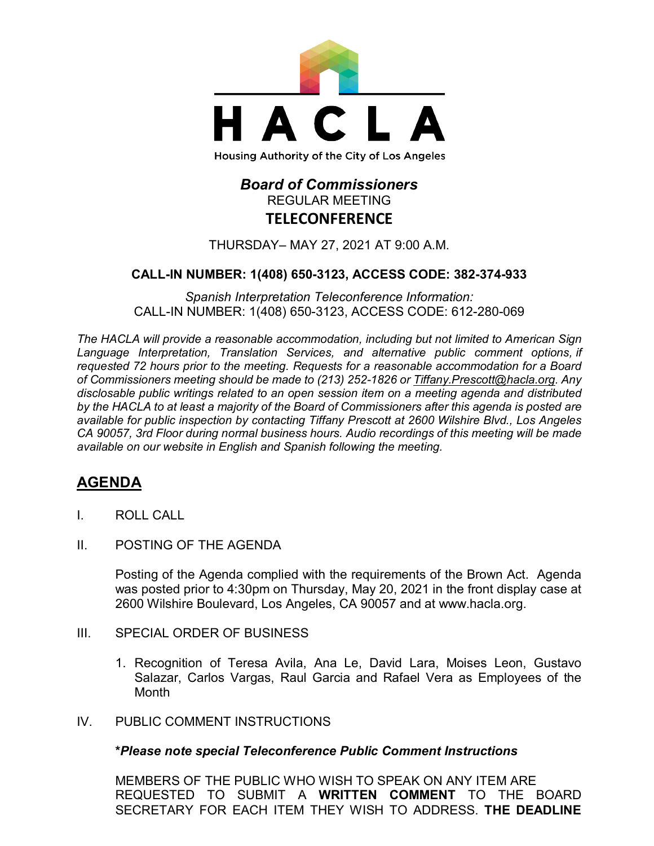

# *Board of Commissioners* REGULAR MEETING **TELECONFERENCE**

THURSDAY– MAY 27, 2021 AT 9:00 A.M.

### **CALL-IN NUMBER: 1(408) 650-3123, ACCESS CODE: 382-374-933**

*Spanish Interpretation Teleconference Information:* CALL-IN NUMBER: 1(408) 650-3123, ACCESS CODE: 612-280-069

*The HACLA will provide a reasonable accommodation, including but not limited to American Sign Language Interpretation, Translation Services, and alternative public comment options, if requested 72 hours prior to the meeting. Requests for a reasonable accommodation for a Board of Commissioners meeting should be made to (213) 252-1826 or Tiffany.Prescott@hacla.org. Any disclosable public writings related to an open session item on a meeting agenda and distributed by the HACLA to at least a majority of the Board of Commissioners after this agenda is posted are available for public inspection by contacting Tiffany Prescott at 2600 Wilshire Blvd., Los Angeles CA 90057, 3rd Floor during normal business hours. Audio recordings of this meeting will be made available on our website in English and Spanish following the meeting.*

## **AGENDA**

- I. ROLL CALL
- II. POSTING OF THE AGENDA

Posting of the Agenda complied with the requirements of the Brown Act. Agenda was posted prior to 4:30pm on Thursday, May 20, 2021 in the front display case at 2600 Wilshire Boulevard, Los Angeles, CA 90057 and at [www.hacla.org.](http://www.hacla.org/)

- III. SPECIAL ORDER OF BUSINESS
	- 1. Recognition of Teresa Avila, Ana Le, David Lara, Moises Leon, Gustavo Salazar, Carlos Vargas, Raul Garcia and Rafael Vera as Employees of the Month
- IV. PUBLIC COMMENT INSTRUCTIONS

#### **\****Please note special Teleconference Public Comment Instructions*

MEMBERS OF THE PUBLIC WHO WISH TO SPEAK ON ANY ITEM ARE REQUESTED TO SUBMIT A **WRITTEN COMMENT** TO THE BOARD SECRETARY FOR EACH ITEM THEY WISH TO ADDRESS. **THE DEADLINE**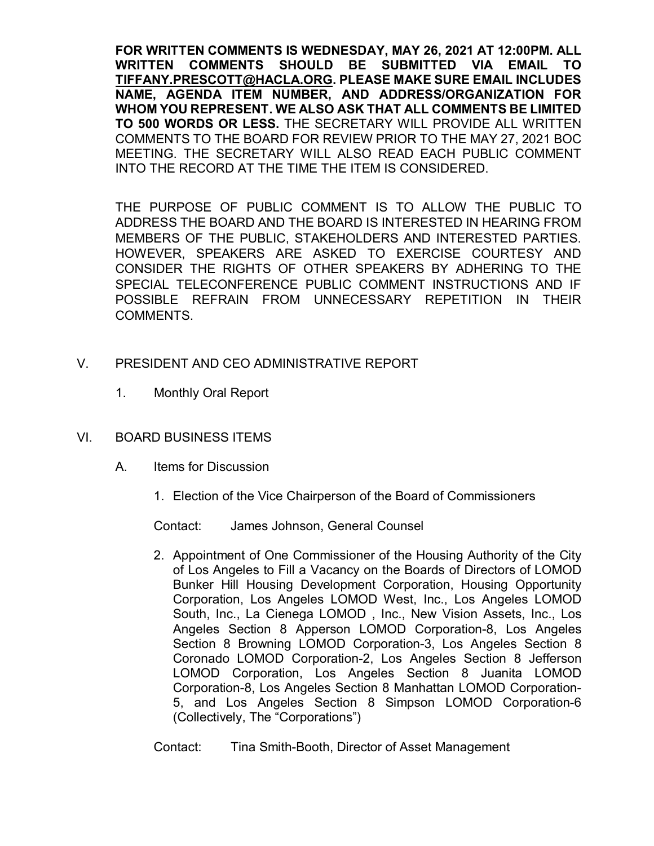**FOR WRITTEN COMMENTS IS WEDNESDAY, MAY 26, 2021 AT 12:00PM. ALL WRITTEN COMMENTS SHOULD BE SUBMITTED VIA EMAIL TO [TIFFANY.PRESCOTT@HACLA.ORG.](mailto:TIFFANY.PRESCOTT@HACLA.ORG) PLEASE MAKE SURE EMAIL INCLUDES NAME, AGENDA ITEM NUMBER, AND ADDRESS/ORGANIZATION FOR WHOM YOU REPRESENT. WE ALSO ASK THAT ALL COMMENTS BE LIMITED TO 500 WORDS OR LESS.** THE SECRETARY WILL PROVIDE ALL WRITTEN COMMENTS TO THE BOARD FOR REVIEW PRIOR TO THE MAY 27, 2021 BOC MEETING. THE SECRETARY WILL ALSO READ EACH PUBLIC COMMENT INTO THE RECORD AT THE TIME THE ITEM IS CONSIDERED.

THE PURPOSE OF PUBLIC COMMENT IS TO ALLOW THE PUBLIC TO ADDRESS THE BOARD AND THE BOARD IS INTERESTED IN HEARING FROM MEMBERS OF THE PUBLIC, STAKEHOLDERS AND INTERESTED PARTIES. HOWEVER, SPEAKERS ARE ASKED TO EXERCISE COURTESY AND CONSIDER THE RIGHTS OF OTHER SPEAKERS BY ADHERING TO THE SPECIAL TELECONFERENCE PUBLIC COMMENT INSTRUCTIONS AND IF POSSIBLE REFRAIN FROM UNNECESSARY REPETITION IN THEIR COMMENTS.

- V. PRESIDENT AND CEO ADMINISTRATIVE REPORT
	- 1. Monthly Oral Report

## VI. BOARD BUSINESS ITEMS

- A. Items for Discussion
	- 1. Election of the Vice Chairperson of the Board of Commissioners

Contact: James Johnson, General Counsel

2. Appointment of One Commissioner of the Housing Authority of the City of Los Angeles to Fill a Vacancy on the Boards of Directors of LOMOD Bunker Hill Housing Development Corporation, Housing Opportunity Corporation, Los Angeles LOMOD West, Inc., Los Angeles LOMOD South, Inc., La Cienega LOMOD , Inc., New Vision Assets, Inc., Los Angeles Section 8 Apperson LOMOD Corporation-8, Los Angeles Section 8 Browning LOMOD Corporation-3, Los Angeles Section 8 Coronado LOMOD Corporation-2, Los Angeles Section 8 Jefferson LOMOD Corporation, Los Angeles Section 8 Juanita LOMOD Corporation-8, Los Angeles Section 8 Manhattan LOMOD Corporation-5, and Los Angeles Section 8 Simpson LOMOD Corporation-6 (Collectively, The "Corporations")

Contact: Tina Smith-Booth, Director of Asset Management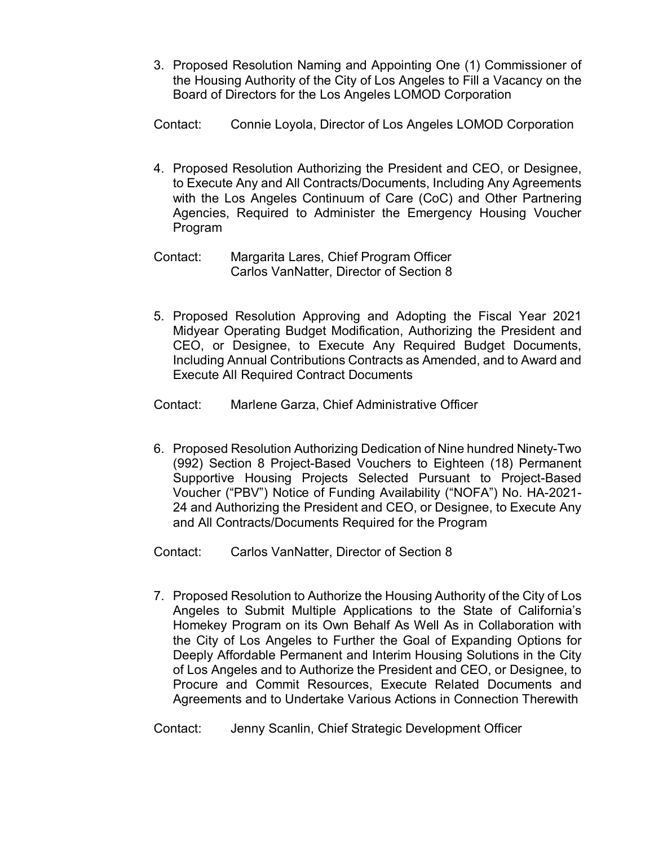3. Proposed Resolution Naming and Appointing One (1) Commissioner of the Housing Authority of the City of Los Angeles to Fill a Vacancy on the Board of Directors for the Los Angeles LOMOD Corporation

Contact: Connie Loyola, Director of Los Angeles LOMOD Corporation

- 4. Proposed Resolution Authorizing the President and CEO, or Designee, to Execute Any and All Contracts/Documents, Including Any Agreements with the Los Angeles Continuum of Care (CoC) and Other Partnering Agencies, Required to Administer the Emergency Housing Voucher Program
- Contact: Margarita Lares, Chief Program Officer Carlos VanNatter, Director of Section 8
- 5. Proposed Resolution Approving and Adopting the Fiscal Year 2021 Midyear Operating Budget Modification, Authorizing the President and CEO, or Designee, to Execute Any Required Budget Documents, Including Annual Contributions Contracts as Amended, and to Award and Execute All Required Contract Documents
- Contact: Marlene Garza, Chief Administrative Officer
- 6. Proposed Resolution Authorizing Dedication of Nine hundred Ninety-Two (992) Section 8 Project-Based Vouchers to Eighteen (18) Permanent Supportive Housing Projects Selected Pursuant to Project-Based Voucher ("PBV") Notice of Funding Availability ("NOFA") No. HA-2021- 24 and Authorizing the President and CEO, or Designee, to Execute Any and All Contracts/Documents Required for the Program

Contact: Carlos VanNatter, Director of Section 8

7. Proposed Resolution to Authorize the Housing Authority of the City of Los Angeles to Submit Multiple Applications to the State of California's Homekey Program on its Own Behalf As Well As in Collaboration with the City of Los Angeles to Further the Goal of Expanding Options for Deeply Affordable Permanent and Interim Housing Solutions in the City of Los Angeles and to Authorize the President and CEO, or Designee, to Procure and Commit Resources, Execute Related Documents and Agreements and to Undertake Various Actions in Connection Therewith

Contact: Jenny Scanlin, Chief Strategic Development Officer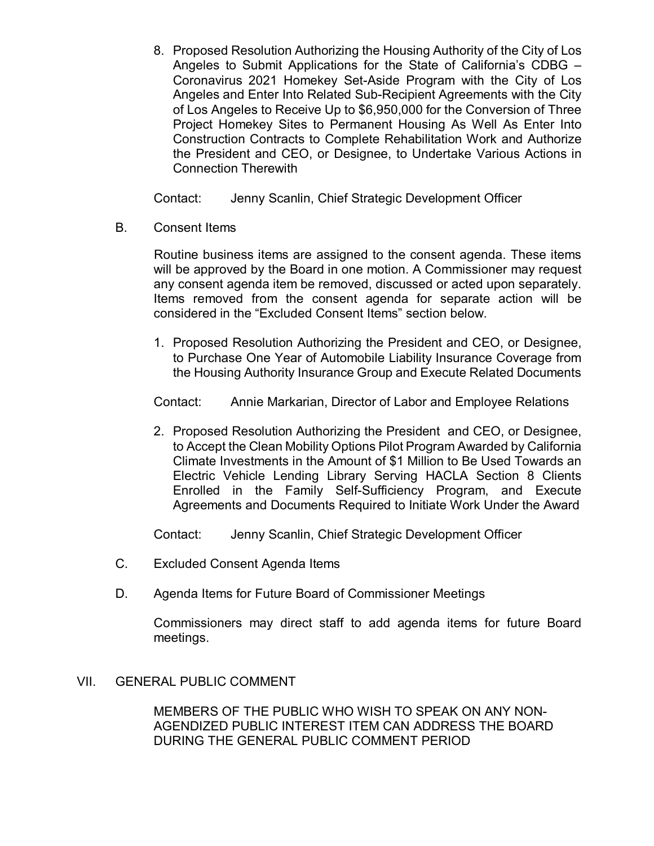8. Proposed Resolution Authorizing the Housing Authority of the City of Los Angeles to Submit Applications for the State of California's CDBG – Coronavirus 2021 Homekey Set-Aside Program with the City of Los Angeles and Enter Into Related Sub-Recipient Agreements with the City of Los Angeles to Receive Up to \$6,950,000 for the Conversion of Three Project Homekey Sites to Permanent Housing As Well As Enter Into Construction Contracts to Complete Rehabilitation Work and Authorize the President and CEO, or Designee, to Undertake Various Actions in Connection Therewith

Contact: Jenny Scanlin, Chief Strategic Development Officer

B. Consent Items

Routine business items are assigned to the consent agenda. These items will be approved by the Board in one motion. A Commissioner may request any consent agenda item be removed, discussed or acted upon separately. Items removed from the consent agenda for separate action will be considered in the "Excluded Consent Items" section below.

1. Proposed Resolution Authorizing the President and CEO, or Designee, to Purchase One Year of Automobile Liability Insurance Coverage from the Housing Authority Insurance Group and Execute Related Documents

Contact: Annie Markarian, Director of Labor and Employee Relations

2. Proposed Resolution Authorizing the President and CEO, or Designee, to Accept the Clean Mobility Options Pilot Program Awarded by California Climate Investments in the Amount of \$1 Million to Be Used Towards an Electric Vehicle Lending Library Serving HACLA Section 8 Clients Enrolled in the Family Self-Sufficiency Program, and Execute Agreements and Documents Required to Initiate Work Under the Award

Contact: Jenny Scanlin, Chief Strategic Development Officer

- C. Excluded Consent Agenda Items
- D. Agenda Items for Future Board of Commissioner Meetings

Commissioners may direct staff to add agenda items for future Board meetings.

### VII. GENERAL PUBLIC COMMENT

MEMBERS OF THE PUBLIC WHO WISH TO SPEAK ON ANY NON-AGENDIZED PUBLIC INTEREST ITEM CAN ADDRESS THE BOARD DURING THE GENERAL PUBLIC COMMENT PERIOD